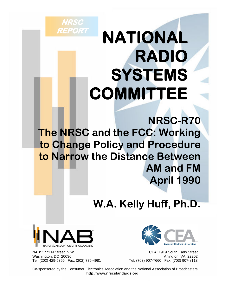# **NATIONAL RADIO SYSTEMS COMMITTEE**

**NRSC-R70 The NRSC and the FCC: Working to Change Policy and Procedure to Narrow the Distance Between AM and FM April 1990**

## **W.A. Kelly Huff, Ph.D.**



**NRSC** 

**REPORT** 

 NAB: 1771 N Street, N.W. CEA: 1919 South Eads Street Washington, DC 20036<br>Tel: (202) 429-5356 Fax: (202) 775-4981 **Archard Tel: (703) 907-7660** Fax: (703) 907-8113



Tel: (703) 907-7660 Fax: (703) 907-8113

 Co-sponsored by the Consumer Electronics Association and the National Association of Broadcasters **http://www.nrscstandards.org**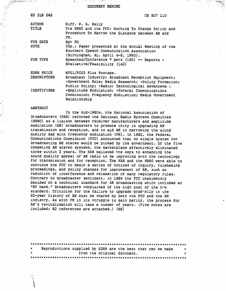DOCUMENT RESUME

in the month of

 $\mathcal{F} \subset \mathcal{F}$ 

| ED 318 045                       | CS 507 110                                                                                                                                                                                |  |  |  |  |  |
|----------------------------------|-------------------------------------------------------------------------------------------------------------------------------------------------------------------------------------------|--|--|--|--|--|
| <b>AUTHOR</b><br><b>TITLE</b>    | Huff, W. A. Kelly<br>The NRSC and the FCC: Working To Change Policy and<br>Procedure To Narrow the Distance between AM and<br>FM.                                                         |  |  |  |  |  |
| PUB DATE<br><b>NOTE</b>          | Apr 90<br>35p.; Paper presented at the Annual Meeting of the                                                                                                                              |  |  |  |  |  |
| PUB TYPE                         | Southern Speech Communication Association<br>(Birmingham, AL, April 4-8, 1990).<br>Speeches/Conference P pers (150) -- Reports -<br>Evaluative/Feasibility (142)                          |  |  |  |  |  |
| EDRS PRICE<br><b>DESCRIPTORS</b> | MFO1/PC02 Plus Postage.<br>Broadcast Industry; Broadcast Reception Equipment;<br>*Government Role; Media Research; *Policy Formation;<br>Public Policy; *Radio; Technological Advancemert |  |  |  |  |  |
| IDENTIFIERS                      | *Amplitude Modulation; *Federal Communications<br>Commission; Frequency Modulation; Media Government<br>Relationship                                                                      |  |  |  |  |  |

#### ABSTRACT

i Ang**iran Kiberan** (2761) 511.<br>Aga D

In the mid-1980s, the National Association of Broadcasters (NAB) reformed the National Radio Systems Committee (NRSC) as a liaison between receiver manufacturers and amplitude modulation (AM) broadcasters to promote unity in upgrading AM transmission and reception, and to aid AM in narrowing the sound quality gap with frequency modulation (FM). In 1982, the Federal Communications Commission (FCC) announced that no single system for broadcasting AM stereo would be picked by the government. Of the five competing AM stereo systems, the marketplace effectively eliminated three within 2 years. The NAB believed the keys to enhancing the sound quality appeal of AM radio to be improving both the technology for transmission and for reception. The NAB and the NRSC were able to convince the FCC to begin a series of notices of inquiry, rulemaking proceedings, and policy changes for improvement of AM, such as reduction of interference and relaxation of many regulatory rules. Contrary to broadcaster sentiment, in 1989 the FCC unanimously decided on a technical standard for AM broadcasting which included an "RF mask." Broadcasters complained of the high cost of the now standard. Criticism for the failure to upgrade gradually in the 60-year history of AM must be shared by both the FCC and the AM industry. As with FM in its struggle to gain parity, the process for AM's revitalization will take a number of years. (Five notes are included; 82 references are attached.) (RS)

| $\star$ |  | Reproductions supplied by EDRS are the best that can be made | 大 |
|---------|--|--------------------------------------------------------------|---|
| $\star$ |  | from the original document.                                  |   |
|         |  |                                                              |   |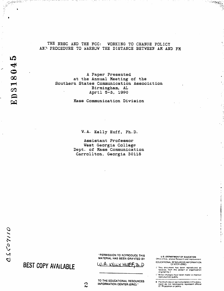A Paper Presented at the Annual Meeting of the Southern States Communication Association Birmingham, AL April 5-3, 1990

Mass Communication Division

W.A. Kelly Huff, Ph.D.

Assistant Professor West Georgia College Dept. of Mass Communication Carrollton, Georgia 30118

રાજી અને પ્રાપ્ય જિલ્લો પ

### BEST COPY AVAILABLE

"PERMISSION TO REPRODUCE THIS MATERIAL HAS BEEN GRAVTED BY

W.A. KELLY HUEF, Th. D

TO THE EDUCATIONAL RESOURCES **INFORMATION CENTER (ERIC)."** 

U.S. DEPARTMENT OF EDUCATION<br>Office of Edultational Research and Improvement

EDUCATIONAL RESOURCES INFORMATION<br>CENTER (ERIC)

"ें¤रु(कृ⁄*सू* 

- i" This decument has been reproduced as<br>- received from the person or organization<br>- originating it
- Channel of the been made to improve<br>reproduction quality

● Points of view or opinions stated in this document, do inot, necessarily, represent, official<br>O', RI position or policy

ဥ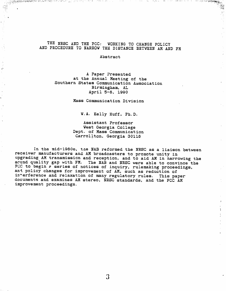#### THE NRSC AND THE FCC: WORKING TO CHANGE POLICY AND FROCEDURE TO NARROW THE DISTANCE BETWEEN AM AND FM

Abstract

A Paper Presented at the Annual Meeting of the Southern States Communication Association Birmingham, AL April 5-8, 1990

 $\frac{1}{2}$ 

Mass Communication Division

W.A. Kelly Huff, Ph.D.

Assistant Professor West Georgia College Dept. of Mass Communication Carrollton, Georgia 30118

In the mid-1980s, the NAB reformed the NRSC as a liaison between receiver manufacturers and AM broadcasters to promote unity in upgrading AM transmission and reception, and to aid AM in narrowing the saund quality gap with FM. The NAB and NRSC were able to convince the FCC to begin a series of notices of inquiry, rulemaking proceedings, and policy changes for improvement of AM, such as reduction of interference and relaxation of many regulatory rules. This paper documents and examines AM stereo, NRSC standards, and the FCC AM improvement proceedings.

 $\mathfrak{Z}$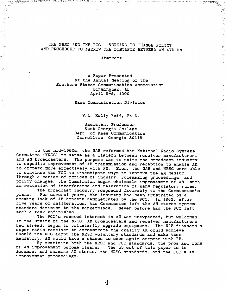#### THE NRSC AND THE FCC: **WORKING TO CHANGE POLICY** AND PROCEDURE TO NARROW THE DISTANCE BETWEEN AM AND FM

(薬)できてきなく はみとく とうさいぶけん

where  $\mu_{\rm{eff}}$  and  $\mu_{\rm{eff}}$  and  $\mu_{\rm{eff}}$ 

이 주변 국가의 공동을 받아 버렸다. 여

Abstract

A Paper Presented at the Annual Meeting of the Southern States Communication Association Birmingham, AL April 5-8, 1990

Mass Communication Division

W.A. Kelly Huff, Ph.D.

Assistant Professor West Georgia College Dept. of Mass Communication Carrollton, Georgia 30118

In the mid-1980s, the NAB reformed the National Radio Systems Committee (NRSC) to serve as a liaison between receiver manufacturers and AM broadcasters. The purpose was to unite the broadcast industry to expedite improvement of AM transmission and reception to enable AM to compete more effectively with FM. Soon, the NAB and NRSC were able to convince the FCC to investigate ways to improve the AM medium. Through a series of notices of inquiry, rulemaking proceedings, and policy changes, the Commission began wholesale improvement of AM, such as reduction of interference and relaxation of many regulatory rules.

The broadcast industry responded favorably to the Commission's For several years, the industry had been frustrated by a plans. seeming lack of AM concern demonstrated by the FCC. In 1982, after five years of deliberation, the Commission left the AM stereo system standard decision to the marketplace. Never before had the FCC left such a task unfinished.

The FCC's renewed interest in AM was unexpected, but welcomed. At the urging of the NRSC, AM broadcasters and receiver manufacturers had already begun to voluntarily upgrade equipment. The NAB financed a super radio receiver to demonstrate the quality AM could achieve. Should the FCC adopt the NRSC voluntary standards and make them mandatory, AM would have a chance to once again compete with FM.

By examining both the NRSC and FCC standards, the pros and cons of AM improvement become clearer. The object of this paper is to document and examine AM stereo, the NRSC standards, and the FCC's AM improvement proceedings.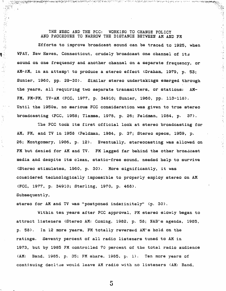#### THE NRSC AND THE FCC: WORKING TO CHANGE POLICY AND PROCEDURE TO NARROW THE DISTANCE BETWEEN AM AND FM

 $\mathcal{A}$ 

in gerak daer dag

المملح الأسفية بمتابيح والوالدة مرمتان المتالي والتكاثر لأمار برادا والتحاربة

医脑膜炎

大学 (本) の

一、 一、 一、 一、 一、 五

Efforts to improve broadcast sound can be traced to 1925, when WPAY, New Haven, Connecticut, crudely broadcast one channel of its sound on one frequency and another channel on a separate frequency, or AM-AM, in an attemp: to produce a stereo effect (Graham, 1979, p. 53; Sunier, 1960, pp. 29-30). Similar stereo undertakings emerged through the years, all requiring two separate transmitters, or stations:  $AM-$ FM, FM-FM, TV-AM (FCC, 1977, p. 34910; Sunier, 1960, pp. 113-118). Until the 1950s, no serious FCC consideration was given to true stereo broadcasting (FCC, 1958; Tlamsa, 1978, p. 26; Feldman, 1984, p. 37).

The FCC took its first official look at stereo broadcasting for AM, FM, and TV in 1958 (Feldman, 1984, p. 37; Stereo specs, 1959, p. 26; Montgomery, 1986, p. 12). Eventually, stereocasting was allowed on FM but denied for AM and TV. FM lagged far behind the other broadcast media and despite its clean, static-free sound, needed help to survive (Stereo stimulates, 1960, p. 30). More significantly, it was considered technologically impossible to properly employ stereo on AM (FCC, 1977, p. 34910; Sterling, 1970, p. 468). Subsequently,

stereo for AM and TV was "postponed indefinitely" (p. 30).

Within ten years after FCC approval, FM stereo slowly began to attract listeners (Stereo AM: Coming, 1982, p. 58; NAB's agenda, 1985, p. 58). In 12 more years, FM totally reversed AM's hold on the Seventy percent of all radio listeners tuned to AM in ratings. 1973, but by 1985 FM controlled 70 percent of the total radio audience  $(AM:$ Band, 1985, p. 35; FM share, 1985, p. 1). Ten more years of continuing decline would leave AM radio with no listeners (AM: Band,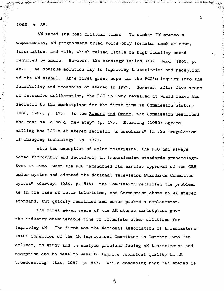1985, p. 35).

 $\blacktriangle$ 

Ţ.

一個 医心房病 中心 计时间

 $\frac{\sqrt{2}}{2}$ 

Y.

٠.

ttist.

 $\gamma_{\rm{in}}$  $\mathcal{C}^{\mathcal{C}}_{\mathcal{A}}$ 

AM faced its most critical times. To combat FM stereo's superiority, AM programmers tried voice-only formats, such as news, information, and talk, which relied little on high fidelity sound required by music. However, the strategy failed (AM: Band, 1985, p. 46). The obvious solution lay in improving transmission and reception of the AM signal. AM's first great hope was the FCC's inquiry into the feasibility and necessity of stereo in 1977. However, after five years of intensive deliberation, the FCC in 1982 revealed it would leave the decision to the marketplace for the first time in Commission history (FCC, 1982, p. 17). In the Report and Order, the Commission described the move as "a bold, new step" (p. 17). Sterling (1982) agreed, calling the FCC's AM stereo decision "a benchmark" in the "regulation of changing technology" (p. 137).

joguggala de Genedia mentera da Leriya Angguna da Barata (1975) na mang mang mang akan kata mangguna ng mangguna

With the exception of color television, the FCC had always acted thoroughly and decisively in transmission standards proceedings. Even in 1953, when the FCC "abandoned its earlier approval of the CBS color system and adopted the National Television Standards Committee system" (Garvey, 1980, p. 516), the Commission rectified the problem. As in the case of color television, the Commission chose an AM stereo standard, but quickly rescinded and never picked a replacement.

The first seven years of the AM stereo marketplace gave the industry considerable time to formulate other solutions for improving AM. The first was the National Association of Broadcasters' (NAB) formation of the AM improvement Committee in October 1983 "to coliect, to study and ip analyze problems facing AM transmission and reception and to develop ways to improve technical quality in .M broadcasting" (Rau, 1985, p. 84). While conceding that "AM stereo is

 $\hat{\mathbf{z}}$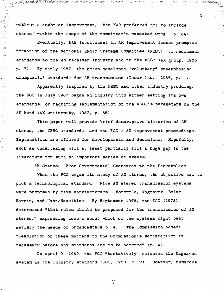without a doubt an improvement," the NAB preferred not to include stereo "within the scope of the committee's mandated work" (p. 84).

(情報を得る) 高速 (多く)

 $\omega_{\rm{ph}}$ 

 $\hat{\pmb{z}}$ 

 $\frac{1}{2}$ 

 $\frac{d^2}{2}$ 

 $\frac{1}{2} \sum_{i=1}^{n}$  $\frac{1}{2}$ 

ţ.

 $\mathbb{R}^2$  $\gamma\zeta^1$ 

÷

لايليان<br>وفيات

Ŕ

S.

Eventually, NAB involvement in AM improvement issues prompted formation of the National Radio Systems Committee (NRSC) "to recommend standards to the AM receiver industry and to the FCC" (AM group, 1985, p. 7). By early 1987, the group developed "voluntary" preemphasis/ deemphasis' standards for AM transmission (Texar Inc., 1987, p. 1).

Apparently inspired by the NRSC and other industry prodding, the FCC in July 1987 began an inquiry into either setting its own standards, or requiring implementation of the NRSC's parameters on the AM band (AM uniformity, 1987, p. 85).

This paper will provide brief descriptive histories of AM stereo, the NRSC standards, and the FCC's AM improvement proceedings. Explanations are offered for developments and decisions. Hopefully, such an undertaking will at least partially fill a huge gap in the literature for such an important series of events.

AM Stereo: From Governmental Standards to the Marketplace

When the FCC began its study of AM stereo, the objective was to pick a technological standard. Five AM stereo transmission systems were proposed by five manufacturers: Motorola, Magnavox, Belar, Harris, and Kahn/Hazeltine. By September 1978, the FCC (1978) determined "that rules should be proposed for the transmission of AM stereo," expressing doubts about which of the systems might best satisfy the needs of broadcasters p. 4). The Commission added: "Resolution of these matters to the Commission's satisfaction is necessary before any standards are to be adopted" (p. 4).

On April 9, 1980, the FCC "tentatively" selected the Magnavox system as the industry standard (FCC, 1980, p. 2). However, numerous

 $\frac{1}{\sqrt{2}}$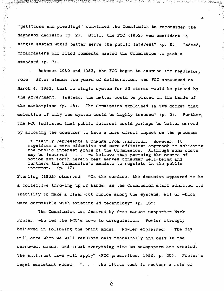"petitions and pleadings" convinced the Commission to reconsider the Magnavox decision (p. 2). Still, the FCC (1982) was confident "a single system would better serve the public interest" (p. 5). Indeed, broadcasters who filed comments wanted the Commission to pick a standard (p. 7).

 $\frac{d}{dt}$ 

 $\mathbb{C}^2$ 

Á

4

Between 1960 and 1982, the FCC began to examine its regulatory role. After almost two years of deliberation, the FCC announced on March 4, 1982, that no single system for AM stereo would be picked by the government. Instead, the matter would be placed in the hands of the marketplace (p. 16). The Commission explained in its docket that selection of only one system would be highly tenuous" (p. 9). Further, the FCC indicated that public interest would perhaps be better served by allowing the consumer to have a more direct impact on the process:

It clearly represents a change from tradition. However, it signifies a more effective and more efficient approach to achieving the public interest goals of the Commission. Although some costs may be incurred . . . we believe that pursuing the course of action set forth herein best serves consumer well-being and furthers the Commission's mandate to regulate in the public interest.  $(p. 17)$ 

Sterling (1982) observed: "On the surface, the decision appeared to be a collective throwing up of hands, as the Commission staff admitted its inability to make a clear-cut choice among the systems, all of which were compatible with existing AM technology" (p. 137).

The Commission was Chaired by free market supporter Mark Fowler, who led the FCC's move to deregulation. Fowler strongly believed in following the print model. Fowler explained: "The day will come when we will regulate only technically and only in the narrowest sense, and treat everything else as newspapers are treated. The antitrust laws will apply" (FCC prescribes, 1986, p. 35). Fowler's legal assistant added: ". . . the litmus test is whether a rule of

 $8\overline{8}$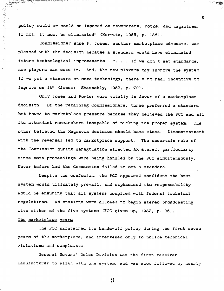policy would or could be imposed on newspapers, books, and magazines. If not, it must be eliminated" (Herwitz, 1985, p. 185).

 $\mathcal{L}^{\mathcal{A}}$  , and  $\mathcal{L}^{\mathcal{A}}$  , and  $\mathcal{L}^{\mathcal{A}}$  , and  $\mathcal{L}^{\mathcal{A}}$  , and  $\mathcal{L}^{\mathcal{A}}$ 

 $\mathcal{O}(\mathcal{O}(3,3))$  for  $\mathcal{O}(\mathcal{O}(3,3))$ 

ਨਲਾਮਨ ਦਾ ਇੱਕ ਕੁਝਿਆਨ ਮੰਤਰ ਦਾ ਨਾਲ ਨੂੰ ਪ੍ਰਾਪਤ ਕਰਨ ਦਾ ਪ੍ਰ

Commissioner Anne P. Jones, another marketplace advocate, was pleased with the decision because a standard would have eliminated future technological improvements: ". . . if we don't set standards, new players can come in. And, the new plavers may improve the system. If we put a standard on some technology, there's no real incentive to improve on it" (Jones: Staunchly, 1982, p. 70).

Only Jones and Fowler were totally in favor of a marketplace decision. Of the remaining Commissioners, three preferred a standard but bowed to marketplace pressure because they believed the FCC and all its attendant researchers incapable of picking the proper system. The other believed the Magnavox decision should have stood. Discontentment with the reversal led to marketplace support. The uncertain role of the Commission during deregulation affected AM stereo, particularly since both proceedings were heing handled by the FCC simultaneously. Never before had the Commission failed to set a standard.

Despite the confusion, the FCC appeared confident the best system would ultimately prevail, and emphasized its responsibility would be ensuring that all systems complied with federal technical regulations. AM stations were allowed to begin stereo broadcasting with either of the five systems (FCC gives up, 1982, p. 36).

#### The marketplace years

**ANDRE ACTIVITY CONTRACTOR** 

**「大学の学習を開きる」** 

 $\sum_{i=1}^{n}$ 

(其外) 医主要子宫

 $\mathbf{r}$ 

فلينت

The FCC maintained its hands-off policy during the first seven years of the marketplace, and intervened only to police technical violations and complaints.

General Motors' Delco Division was the first receiver manufacturer to align with one system, and was soon followed by nearly

 $\boldsymbol{\Omega}$ 

 $\mathbf{5}$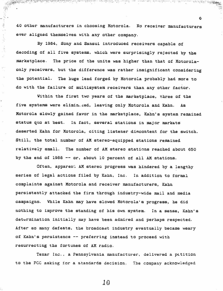40 other manufacturers in choosing Motorola. No receiver manufacturers ever aligned themselves with any other company.

 $\frac{1}{\sqrt{2}}\frac{d^2}{dt^2}$ 

 $\frac{1}{2}$ 

 $\hat{\rho}$   $\hat{\gamma}$ 

 $\bar{z}$ 

မွန္႔ေမာက္ေသာက္ေတာ့ေၾကာင္းေတာ့ေရးေပးပါတယ္။ ေတြေကာင္း ေတြေကာင္း ေသာင္းေတာ္ေတာ္ စကယ္ေတာ္ သင္းလားသားေရးသက္သင့္ ေမ<br>အက်က္ လမ္းႏိုင္ငံေတြေကာင္းေတြေကာင္းေတြေကာင္း ေတြေကာင္း ေတြေကာင္း ေတြေကာင္းေတာ္ စကယ္ေတာ္ သင္းလားသားေတြေကာင္း ေမ

6

By 1984, Sony and Sansui introduced receivers capable of decoding of all five systems, which were surprisingly rejected by the marketplace. The price of the units was higher than that of Motorolaonly receivers, but the difference was rather insignificant considering the potential. The huge lead forged by Motorola probably had more to do with the failure of multisystem receivers than any other factor.

Within the first two years of the marketplace, three of the five systems were elimin...ed, leaving only Motorola and Kahn. As Motorola slowly gained favor in the marketplace, Kahn's system remained status quo at best. In fact, several stations in major markets deserted Kahn for Motorola, citing listener discontent for the switch. Still, the total number of AM stereo-equipped stations remained relatively small. The number of AM stereo stations reached about 650 by the end of 1988 -- or, about 10 percent of all AM stations.

Often, apparent AM stered progress was hindered by a lengthy series of legal actions filed by Kahn, Inc. In addition to formal complaints against Motorola and receiver manufacturers, Kahn persistently attacked the firm through industry-wide mail and media campaigns. While Kahn may have slowed Motorola's progress, he did nothing to improve the standing of his own system. In a sense, Kahn's determination initially may have been admired and perhaps respected. After so many defeats, the broadcast industry eventually became weary of Kahn's persistence -- preferring instead to proceed with resurrecting the fortunes of AM radio.

Texar Inc., a Pennsylvania manufacturer, delivered a petition to the FCC asking for a standards decision. The company acknowledged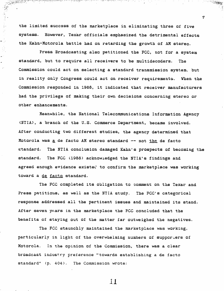the limited success of the marketplace in eliminating three of five systems. However, Texar officials emphasized the detrimental effects the Kahn-Motorola battle had on retarding the growth of AM stereo.

רק היה המוניקה בין המוניקה בין המוניקה בין המוניקה המוניקה בין המוניקה בין המוניקה בין המוניקה בין המוניקה בין<br>ק

 $\mathcal{L} \in \mathcal{M}$  , and  $\mathcal{L}$ 

 $\overline{7}$ 

मध्यप्रकारकारमा मृत्यू सा

SANTA CENT

 $\frac{1}{2}$ .  $\mathcal{J}_\tau$ 

 $\overline{\phantom{a}}$ 

 $\mathcal{L}^{\mathcal{A}}$ 

المستوا والمستحدث ومحتوج والالتقاء والمناور المستحدث والالمس

Press Broadcasting also petitioned the FCC, not for a system standard, but to require all receivers to be multidecoders. The Commission could act on selecting a standard transmission system, but in reality only Congress could act on receiver requirements. When the Commission responded in 1988, it indicated that receiver manufacturers had the privilege of making their own decisions concerning stereo or other enhancements.

Meanwhile, the National Telecommunications Information Agency (NTIA), a branch of the U.S. Commerce Department, became involved. After conducting two different studies, the agency determined that Motorola was a de facto AM stereo standard -- not the de facto standard. The NTIA conclusion damaged Kahn's prospects of becoming the standard. The FCC (1988) acknowledged the NTIA's findings and agreed enough evidence existed to confirm the marketplace was working toward a de facto standard.

The FCC completed its obligation to comment on the Texar and Press petitions, as well as the NTIA study. The FCC's categorical response addressed all the pertinent issues and maintained its stand. After seven years in the marketplace the FCC concluded that the benefits of staying out of the matter far outweighed the negatives.

The FCC staunchly maintained the marketplace was working, particularly in light of the overwhelming numbers of supporters of Motorola. In the opinion of the Commission, there was a clear broadcast industry preference "towards establishing a de facto standard" (p. 404). The Commission wrote: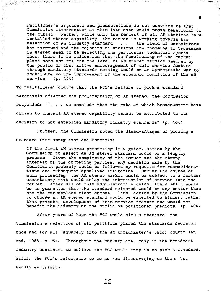Petitioner's arguments and presentations do not convince us that Commission intervention at this late date would prove beneficial to the public. Rather, while only ten percent of all AM stations have installed stereo capability, the market is working towards the selection of an industry standard. . . . the field of competitors has narrowed and the majority of stations now choosing to broadcast in stereo seem to be selecting one particular technical system. Thus, there is no indication that the functioning of the marketplace does not reflect the level of AM stereo service desired by the public or that active encouragement of this service feature through mandatory standards setting would be an appropriate way to contribute to the improvement of the economic condition of the AM  $s$ ervice.  $(p. 404)$ 

्ष १ मध्य १००

アイトリス キャング こうきんじょう カクティング・シー

ம் குத்துத்திருக்கு என்று இதுக்கு இதற்படையும் எதுவருக்கு குறுவரும் பிரிம் என்பதற்றும் பற்பட்ட விடவிட்ட பிரிம்ப<br>என்னது இருந்து

 $\begin{picture}(120,15) \put(0,0){\line(1,0){15}} \put(0,0){\line(1,0){15}} \put(0,0){\line(1,0){15}} \put(0,0){\line(1,0){15}} \put(0,0){\line(1,0){15}} \put(0,0){\line(1,0){15}} \put(0,0){\line(1,0){15}} \put(0,0){\line(1,0){15}} \put(0,0){\line(1,0){15}} \put(0,0){\line(1,0){15}} \put(0,0){\line(1,0){15}} \put(0,0){\line(1,0){15}} \put(0$ 

 $\mathbb{R}^3$ 

 $\mathbb{R}^{1,2}$ 

 $\hat{\boldsymbol{\gamma}}$ 

 $\mathbb{R}^3$ 

To petitioners' claims that the FCC's failure to pick a standard negatively affected the proliferation of AM stereo, the Commission responded: ". . . we conclude that the rate at which broadcasters have chosen to install AM stereo capability cannot be attributed to our decision to not establish mandatory industry standards" (p. 404).

Further, the Commission noted the disadvantages of picking a standard from among Kahn and Motorola:

If the first AM stereo proceeding is a guide, action by the Commission to select an AM stereo standard would be a lengthy process. Given the complexity of the issues and the strong interest of the competing parties, any decision made by the Commission probably would be followed by requests for reconsiderations and subsequent appellate litigation. During the course of such proceeding, the AM stereo market would be subject to a further uncertainty that would delay the introduction of service into the After all of this administrative delay, there still would market. be no guarantee that the standard selected would be any better than one the marketplace might choose. Thus, action by the Commission to choose an AM stereo standard would be expected to hinder, rather than promote, development of this service feature and would not benefit the industry or the public as patitioner predicts. (p. 404)

After years of hope the FCC would pick a standard, the Commission's rejection of all petitions placed the standards decision once and for all "squarely into the AM broadcaster's [sic] court" (An end, 1988, p. 5). Throughout the marketplace, many in the broadcast industry continued to believe the FCC would step in to pick a standard. Still, the FCC's reluctance to do so was discouraging to them, but hardly surprising.

8

样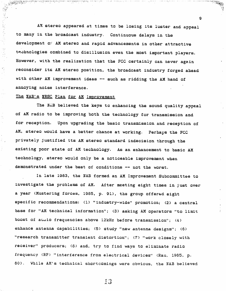AM stereo appeared at times to be losing its luster and appeal to many in the broadcast industry. Continuous delays in the development of AM stereo and rapid advancements in other attractive technologies combined to disillusion even the most important players. However, with the realization that the FCC certainly can never again reconsider its AM stereo position, the broadcast industry forged ahead with other AM improvement ideas -- such as ridding the AM band of annoying noise interference.

المستحقق المتعدد للمحللة والمتحاولات المتحرق والمهليك والمهارمات

9

#### The NAB's NRSC Plan for AM Improvement

والمقادمات ومقاتله للمائلين المتواطنا وبالمائك أتونا المس

وكالمتعاط الكافحة والمستشبية محار

医慢性皮炎 医外科 医外科学家

The NAB believed the keys to enhancing the sound quality appeal of AM radio to be improving both the technology for transmission and for reception. Upon upgrading the basic transmission and reception of AM, stereo would have a better chance at working. Perhaps the FCC privately justified its AM stereo standard indecision through the existing poor state of AM technology. As an enhancement to basic AM technology, stereo would only be a noticeable improvement when demonstrated under the best of conditions -- not the worst.

In late 1983, the NAB formed an AM Improvement Subcommittee to investigate the problems of AM. After meeting eight times in just over a year (Mustering forces, 1985, p. 91), the group offered eight specific recommendations: (1) "industry-wide" promotion; (2) a central base for "AM technical information"; (3) asking AM operators "to limit boost of audio frequencies above 12kHz before transmission"; (4) enhance antenna capabilities; (5) study "new antenna designs"; (6) "research transmitter transient distortion"; (7) "work closely with receiver" producers; (8) and, try to find ways to eliminate radio frequency (RF) "interference from electrical devices" (Rau, 1985, p. 80). While AM's technical shortcomings were obvious, the NAB believed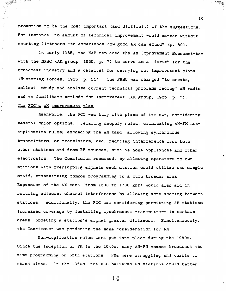promotion to be the most important (and difficult) of the suggestions. For instance, no amount of technical improvement would matter without courting listeners "to experience how good AM can sound" (p. 80).

10

**SAMAR** 

 $\mathcal{L}_{\mathcal{A}}$ 

 $\mathcal{Z}_\mathbf{z}$ 

a distance and the second company of

In early 1985, the NAB replaced the AM Improvement Subcommittee with the NRSC (AM group, 1985, p. 7) to serve as a "forum" for the broadcast industry and a catalyst for carrying out improvement plans (Mustering forces, 1985, p. 31). The NRSC was charged "to create, collect study and analyze current technical problems facing" AM radio and to facilitate methods for improvement (AM group, 1985, p. 7). The FCC's AM improvement plan

Meanwhile, the FCC was busy with plans of its own, considering several major options: relaxing duopoly rules; eliminating AM-FM nonduplication rules; expanding the AM band; allowing synchronous transmitters, or translators; and, reducing interference from both other stations and from RF sources, such as home appliances and other electronics. The Commission reasoned, by allowing operators to own stations with overlapping signals each station could utilize one single staff, transmitting common programming to a much broader area. Expansion of the AM band (from 1600 to 1700 khz) would also aid in reducing adjacent channel interference by allowing more spacing between stations. Additionally, the FCC was considering permitting AM stations increased coverage by installing synchronous transmitters in certain areas, boosting a station's signal greater distances. Simultaneously, the Commission was pondering the same consideration for FM.

Non-duplication rules were put into place during the 1960s. Since the inception of FM in the 1940s, many AM-FM combos broadcast the same programming on both stations. FMs were struggling and unable to stand alone. In the 1960s, the FCC believed FM stations could better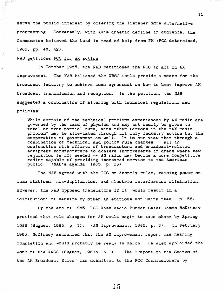serve the public interest by offering the listener more alternative programming. Conversely, with AM's drastic decline in audience, the Commission believed the band in need of help from FM (FCC determined, 1935, pp. 40, 42).

#### NAB petitions FCC for AM action

1945年4月

In October 1985, the NAB petitioned the FCC to act on AM improvement. The NAB believed the NRSC could provide a means for the broadcast industry to achieve some agreement on how to best improve AM broadcast transmission and reception. In the petition, the NAB suggested a combination of altering both technical regulations and policies:

While certain of the technical problems experienced by AM radio are governed by the laws of physics and may not easily be given to total or even partial cure, many other factors in the "AM radio problem" may be alleviated through not only industry action but the cooperation of government as well. It is our view that through a combination of technical and policy rule changes -- all in conjunction with efforts of broadcasters and broadcast-related equipment manufacturers to achieve improvements in areas where new regulation is not needed -- AM radio may become a more competitive medium capable of providing increased service to the American public. (NAB's agenda, 1985, p. 58)

The NAB agreed with the FCC on duopoly rules, raising power on some stations, non-duplication, and electric interference elimination. However, the NAB opposed translators if it "would result in a 'diminution' of service by other AM stations not using them" (p. 58).

By the end of 1985, FCC Mass Media Bureau Chief James McKinney promised that rule changes for AM would begin to take shape by Spring 1986 (Hughes, 1986, p. 3). (AM improvement, 1986, p. 3). In February 1986, McKinney announced that the AM improvement report was nearing completion and would probably be ready in March. He also applauded the work of the NRSC (Hughes, 1986b, p. 1). The "Report on the Status of the AM Broadcast Rules" was submitted to the FCC Commissioners by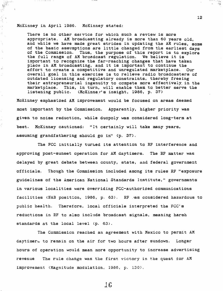#### McKinney in April 1986. McKinney stated:

Ą.

Ń.

Ň,

÷.

There is no other service for which such a review is more appropriate. AM broadcasting already is more than 60 years old, and while we have made great strides in updating the AM rules, some of the basic assumptions are little changed from the earliest days of the Commission. Thus, the purpose of this report is to explore the full range of AM broadcast regulation. We believe it is important to recognize the far-reaching changes that have taken place in AM broadcasting, and it is important to continue the effort to create a competitive and unregulated marketplace. Our overall goal in this exercise is to relieve radio broadcasters of outdated licensing and regulatory constraints, thereby freeing their entrepreneurial ingenuity to compete more effectively in the marketplace. This, in turn, will enable them to better serve the (McKinner's insight, 1986, p. 37) listening public.

McKinney emphasized AM improvement would be focused on areas deemed most important by the Commission. Apparently, higher priority was given to noise reduction, while duopoly was considered long-term at best. McKinney cautioned: "It certainly will take many years, assuming grandfathering should go in" (p. 37).

The FCC initially turned its attention to RF interference and approving post-sunset operation for AM daytimers. The RF matter was delayed by great debate between county, state, and federal government officials. Though the Commission included among its rules RF "exposure guidelines of the American National Standards Institute," governments in various localities were overriding FCC-authorized communications facilities (NAB position, 1986, p. 63). RF as considered hazardous to Therefore, local officials interpreted the FCC's public health. reductions in RF to also include broadcast signals, meaning harsh standards at the local level (p. 63).

The Commission reached an agreement with Mexico to permit AM daytimers to remain on the air for two hours after sundown. Longer hours of operation would mean more opportunity to increase advertising The rule change was the first victory in the quest for AM revenue improvement (Magnitude modulation, 1986, p. 130).

 $16$ 

 $12<sub>1</sub>$ 

 $\alpha$ 

 $\cdots$ 

حال<sup>ت</sup><br>ويات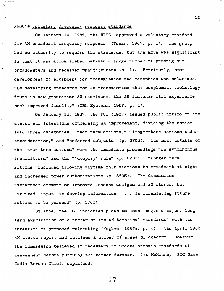#### NRSC's voluntary frequency response standards

 $\frac{1}{2}$ 

1. 经合同

Jý.

 $\frac{1}{2}$ 

 $\mathbb{R}^2$ 

On January 10, 1987, the NRSC "approved a voluntary standard for AM broadcast frequency response" (Texar, 1987, p. 1). The group had no authority to require the standards, but the move was significant in that it was accomplished between a large number of prestigious broadcasters and receiver manufacturers (p. 1). Previously, most development of equipment for transmission and reception was polarized. "By developing standards for AM transmission that complement technology found in new generation AM receivers, the AM listener will experience much improved fidelity" (CRL Systems, 1987, p. 1).

On January 15, 1987, the FCC (1987) issued public notice on its status and intentions concerning AM improvement, dividing the notice into three categories: "near term actions," "longer-term actions under consideration," and "deferred subjects" (p. 3705). The most notable of the "near term actions" were the immediate proceedings "on synchronous transmitters" and the "'duopciy' rule" (p. 3705). "Longer term actions" included allowing daytime-only stations to broadcast at night and increased power authorizations (p. 3705). The Commission "deferred" comment on improved antenna designs and AM stereo, but "invited" input "to develop information . . . in formulating future actions to be pursued" (p. 3705).

By June, the FCC indicated plans to soon "begin a major, long term examination of a number of its AM technical standards" with the intention of proposed rulemaking (Hughes, 1987a, p. 4). The April 1986 AM status report had outlined a number of areas of concern. However, the Commission believed it necessary to update archaic standards of assessment before pursuing the matter further. Jim McKinney, FCC Mass Media Bureau Chief, explained:

 $\frac{1}{2}$ 

13

 $\frac{1}{2}$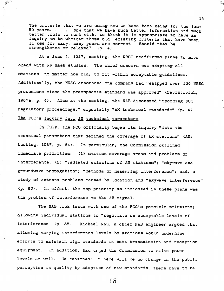The criteria that we are using now we have been using for the last 50 years.... Now that we have much better information and much better tools to work with, we think it is appropriate to have an inquiry as to whether those old, existing criteria that have been in use for many, many years are correct. Should they be strengthened or relaxed? (p. 4)

المنبوء<br>وفيات

At a June 4, 1987, meeting, the NRSC reaffirmed plans to move ahead with RF mask studies. The chief concern was adapting all stations, no matter how old, to fit within acceptable guidelines. Additionally, the NRSC announced one company had "shipped over 150 NRSC processors since the preemphasis standard was approved" (Zavistovich, 1987a, p. 4). Also at the meeting, the NAB discussed "upcoming FCC regulatory proceedings," especially "AM technical standards" (p. 4). The FCC's inquiry into AM technical parameters

In July, the FCC officially began its inquiry "into the technical parameters that defined the coverage of AM stations" (AM: Looking, 1987, p. 84). In particular, the Commission outlined immediate priorities: (1) station coverage areas and problems of interference; (2) "radiated emissions of AM stations"; "skywave and groundwave propagation"; "methods of measuring interference"; and, a study of antenna problems caused by location and "skywave interference" (p. 85). In effect, the top priority as indicated in these plans was the problem of interference to the AM signal.

The NAB took issue with one of the FCC's possible solutions; allowing individual stations to "negotiate on acceptable levels of interference" (p. 85). Michael Rau, a chief NAB engineer argued that allowing varying interference levels by stations would undermine efforts to maintain high standards in both transmission and reception equipment. In addition, Rau urged the Commission to raise power levels as well. He reasoned: "There will be no change in the public perception in quality by adoption of new standards; there have to be

14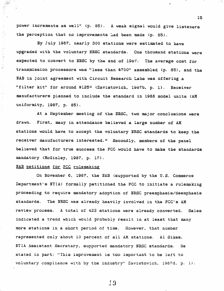power increments as well" (p. 85). A weak signal would give listeners the perception that no improvements had been made (p. 85).

15

By July 1987, nearly 300 stations were estimated to have upgraded with the voluntary NRSC standards. One thousand stations were expected to convert to NRSC by the end of 1987. The average cost for transmission processors was "less than \$700" assembled (p. 85), and the NAB in joint agreement with Circuit Research Labs was offering a "filter kit" for around \$125<sup>2</sup> (Zavistovich, 1987b, p. 1). Receiver manufacturers planned to include the standard in 1988 model units (AM uniformity, 1987, p. 85).

At a September meeting of the NRSC, two major conclusions were drawn. First, many in attendance believed a large number of AM stations would have to accept the voluntary NRSC standards to keep the receiver manufacturers interested.<sup>3</sup> Secondly, members of the panel believed that for true success the FCC would have to make the standards mandatory (McGinley, 1987, p. 17).

#### NAB petitions for FCC rulemaking

 $\frac{1}{2} \frac{d}{dt}$ 

Ay<br>A

 $\begin{aligned} \frac{1}{2} \left( \frac{1}{2} \sum_{i=1}^{n} \frac{1}{2} \sum_{j=1}^{n} \frac{1}{2} \right) \left( \frac{1}{2} \sum_{i=1}^{n} \frac{1}{2} \right) \left( \frac{1}{2} \sum_{i=1}^{n} \frac{1}{2} \right) \left( \frac{1}{2} \sum_{i=1}^{n} \frac{1}{2} \right) \left( \frac{1}{2} \sum_{i=1}^{n} \frac{1}{2} \right) \left( \frac{1}{2} \sum_{i=1}^{n} \frac{1}{2} \right) \left( \frac{1}{2} \$ 

On November 6, 1987, the NAB (supported by the U.S. Commerce Department's NTIA) formally petitioned the FCC to initiate a rulemaking proceeding to require mandatory adoption of NRSC preemphasis/deemphasis standards. The NRSC was already heavily involved in the FCC's AM review process. A total of 422 stations were already converted. Sales indicated a trend which would probably result in at least that many more stations in a short period of time. However, that number represented only about 10 percent of all AM stations. Al Sikes, NTIA Assistant Secretary, supported mandatory NRSC standards. He stated in part: "This improvement is too important to be left to voluntary compliance with by the industry" Zavistovich, 1987d, p. 1).

 $\pm 9$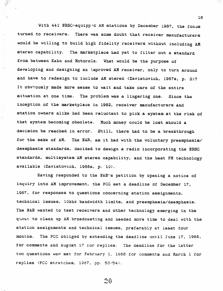With 441 NRSC-equipped AM stations by December 1987, the focus turned to receivers. There was some doubt that receiver manufacturers would be willing to build high fidelity receivers without including AM stereo capability. The marketplace had yet to filter out a standard from between Kahn and Motorola. What would be the purpose of developing and designing an improved AM receiver, only to turn around and have to redesign to include AM stereo (Zavistovich, 1987e, p. 3)? It obviously made more sense to wait and take care of the entire situation at one time. The problem was a lingering one. Since the inception of the marketplace in 1982, receiver manufacturers and station owners alike had been reluctant to pick a system at the risk of that system becoming obsolete. Much money could be lost should a decision be reached in error. Still, there had to be a breakthrough for the sake of AM. The NAB, as it had with the voluntary preemphasis/ deemphasis standards, decided to design a radio incorporating the NRSC standards, multisystem AM stereo capability, and the best FM technology available (Zavistovich, 1988a, p. 10).

Having responded to the NAB's petition by opening a notice of inquiry into AM improvement, the FCC set a deadline of December 17, 1987, for responses to questions concerning station assignments, technical issues, 10khz bandwidth limits, and preemphasis/deemphasis. The NAB wanted to test receivers and other technology emerging in the quest to clean up AM broadcasting and needed more time to deal with the station assignments and technical issues, preferably at least four months. The FCC obliged by extending the deadline until June 17, 1988, for comments and August 17 for replies. The deadline for the latter two questions was set for February 1, 1988 for comments and March 1 for replies (FCC stretches, 1987, pp. 53-54).

 $20$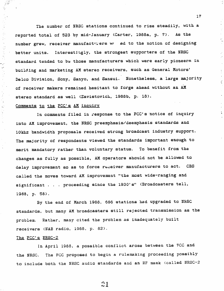The number of NRSC stations continued to rise steadily, with a reported total of 523 by mid-January (Carter, 1988a, p. 7). As the number grew, receiver manufacturers we ed to the notion of designing better units. Interestingly, the strongest supporters of the NRSC standard tended to be those manufacturers which were early pioneers in building and marketing AM stereo receivers, such as General Motors' Delco Division, Sony, Sanyo, and Sansui. Nonetheless, a large majority of receiver makers remained hesitant to forge ahead without an AM stereo standard as well (Zavistovich, 1988b, p. 18).

 $17$ 

#### Comments to the FCC's AM inquiry

 $\frac{1}{\sqrt{2}}$ 

 $\frac{1}{\sqrt{2}}$ 

 $\frac{1}{2}$  .

 $\mathcal{G}_{\mathcal{G}}$ 

1454年

لأمني

 $\mathcal{L}$ 

 $\frac{1}{3}$ 

Ì,

 $\hat{\mathbf{h}}^{\mathrm{t}}$ 

In comments filed in response to the FCC's notice of inquiry into AM improvement, the NRSC preemphasis/deemphasis standards and 10khz bandwidth proposals received strong broadcast industry support. The majority of respondents viewed the standards important enough to merit mandatory rather than voluntary status. To benefit from the changes as fully as possible, AM operators should not be allowed to delay improvement so as to force receiver manufacturers to act. CBS called the moves toward AM improvement "the most wide-ranging and significant . . . proceeding since the 1930's" (Broadcasters tell, 1988, p. 58).

By the end of March 1988, 686 stations had upgraded to NRSC standards, but many AM broadcasters still rejected transmission as the problem. Rather, many cited the problem as inadequately built receivers (NAB radio, 1988, p. 82).

#### The FCC's NRSC-2

In April 1988, a possible conflict arose between the FCC and The FCC proposed to begin a rulemaking proceeding possibly the NRSC. to include both the NRSC audio standards and an RF mask (called NRSC-2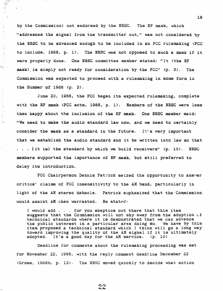by the Commission) not endorsed by the NRSC. The RF mask, which "addresses the signal from the transmitter out," was not considered by the NRSC to be advanced enough to be included in an FCC rulemaking (FCC to include, 1988, p. 1). The NRSC was not opposed to such a mask if it were properly done. One NRSC committee member stated: "It (the RF mask) is simply not ready for consideration by the FCC" (p. 3). The Commission was expected to proceed with a rulemaking in some form in the Summer of 1988 (p. 3).

 $\mathbf{q}^{(1)}$ 

 $\frac{1}{2}$  $\sim$ 

 $\frac{1}{2}$ 

동

June 20, 1988, the FCC began its expected rulemaking, complete with the RF mask (FCC acts, 1988, p. 1). Members of the NRSC were less than happy about the inclusion of the RF mask. One NRSC member said: "We need to make the audio standard law now, and we need to certainly consider the mask as a standard in the future. It's very important that we establish the audio standard and it be written into law so that ... It isl the standard by which we build receivers" (p. 10). NRSC members supported the importance of RF mask, but still preferred to delay its introduction.

FCC Chairperson Dennis Patrick seized the opportunity to answer critics' claims of FCC insensitivity to the AM band, particularly in light of the AM stereo debacle. Patrick emphasized that the Commission would assist AM when warranted. He stated:

I would add . . . for you skeptics out there that this item suggests that the Commission will not shy away from the adoption of technical standards where it is demonstrated that we can advance the public interest in a particular area doing so. We have by this item proposed a technical standard which I think will go a long way toward improving the quality of the AM signal if it is ultimately adopted. It's a good day for the AM service.  $(p. 10)$ 

Deadline for comments about the rulemaking proceeding was set for November 22, 1998, with the reply comment deadline December 22 (Gross, 1988b, p. 13). The NRSC moved quickly to decide what action

22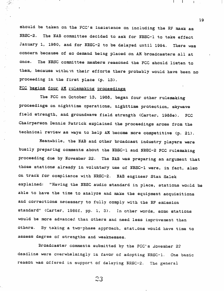should be taken on the FCC's insistence on including the RF mask as NRSC-2. The NAB committee decided to ask for NRSC-1 to take effect January 1, 1980, and for NRSC-2 to be delayed until 1994. There was concern because of so demand being placed on AM broadcasters all at The NRSC committee members reasoned the FCC should listen to once. them, because withent their efforts there probably would have been no proceeding in the first place (p. 13).

#### FCC begins four AM rulemaking proceedings

 $\frac{1}{\sqrt{2}}$ 

The FCC on October 13, 1988, began four other rulemaking proceedings on nighttime operations, nighttime protection, skywave field strength, and groundwave field strength (Carter, 1988e). **FCC** Chairperson Dennis Patrick explained the proceedings arose from the technical review as ways to help AM become more competitive (p. 21).

Meanwhile, the NAB and other broadcast industry players were busily preparing comments about the NRSC-1 and NRSC-2 FCC rulemaking proceeding due by November 22. The NAB was preparing an argument that those stations already in voluntary use of NRSC-1 were, in fact, also on track for compliance with NRSC-2. NAB engineer Stan Salek explained: "Having the NRSC audio standard in place, stations would be able to have the time to analyze and make the equipment acquisitions and corrections necessary to fully comply with the RF emission standard" (Carter, 1988f, pp. 1, 3). In other words, some stations would be more advanced than others and need less improvement than others. By taking a two-phase approach, stations would have time to assess degree of strengths and weaknesses.

Broadcaster comments submitted by the FCC's Jovember 22 deadline were overwhelmingly in favor of adopting NRSC-1. One basic reason was offered in support of delaying NRSC-2. The general

 $23$ 

19

 $\mathbf{L}$ 

 $\mathbf{I}$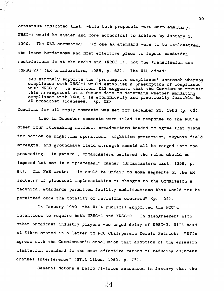consensus indicated that, while both proposals were complementary, NRSC-1 would be easier and more economical to achieve by January 1, The NAB commented: "if one AM standard were to be implemented, 1990. the least burdensome and most effective place to impose bandwidth restrictions is at the audio end (NRSC-1), not the transmission end (NRSC-2)" (AM broadcasters, 1988, p. 62). The NAB added:

NAB strongly supports the 'presumptive compliance' approach whereby compliance with NRSC-1 would establish a presumption of compliance with NRSC-2. In addition, NAB suggests that the Commission revisit this arrangement at a future date to determine whether mandating compliance with NRSC-2 is economically and practically feasible to AM broadcast licensees.  $(p. 62)$ 

Deadline for all reply comments was set for December 22, 1988 (p. 62).

Also in December comments were filed in response to the FCC's other four rulemaking notices, broadcasters tended to agree that plans for action on nighttime operations, nighttime protection, skywave field strength, and groundwave field strength should all be merged into one proceeding. In general, broadcasters believed the rules should be imposed but not in a "piecemeal" manner (Broadcasters want, 1988, p.  $94$ . The NAB wrote: "It could be unfair to some segments of the AM industry if piecemeal implementation of changes to the Commission's technical standards permitted facility modifications that would not be permitted once the totality of revisions occurred" (p. 94).

In January 1989, the NTIA publicly supported the FCC's intentions to require both NRSC-1 and NRSC-2. In disagreement with other broadcast industry players who urged delay of NRSC-2, NTIA head Al Sikes stated in a letter to FCC Chairperson Dennis Patrick: "NTIA agrees with the Commission's conclusion that adoption of the emission limitation standard is the most effective method of reducing adjacent channel interference" (NTIA likes, 1989, p. 77).

General Motors's Delco Division announced in January that the

24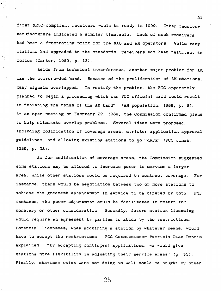first NRSC-compliant receivers would be ready in 1990. Other receiver manufacturers indicated a similar timetable. Lack of such receivers had been a frustrating point for the NAB and AM operators. While many stations had upgraded to the standards, receivers had been reluctant to follow (Carter, 1989, p. 13).

21

 $\mathcal{L}(\mathcal{A})$ 

Aside from technical interference, another major problem for AM was the overcrowded band. Because of the proliferation of AM stations, many signals overlapped. To rectify the problem, the FCC apparently planned to begin a proceeding which one FCC official said would result in "thinning the ranks of the AM band" (AM population, 1989, p. 9). At an open meeting on February 22, 1989, the Commission confirmed plans to help eliminate overlap problems. Several ideas were proposed, including modification of coverage areas, stricter application approval guidelines, and allowing existing stations to go "dark" (FCC comes, 1989, p. 33).

As for modification of coverage areas, the Commission suggested some stations may be allowed to increase power to service a larger area, while other stations would be required to contract coverage. For instance, there would be negotiation between two or more stations to achieve the greatest enhancement in service to be offered by both. For instance, the power adjustment could be facilitated in return for monetary or other consideration. Secondly, future station licensing would require an agreement by parties to abide by the restrictions. Potential licensees, when acquiring a station by whatever means, would have to accept the restrictions. FCC Commissioner Patricia Diaz Dennis explained: "By accepting contingent applications, we would give stations more flexibility in adjusting their service areas" (p. 33). Finally, stations which were not doing as well could be bought by other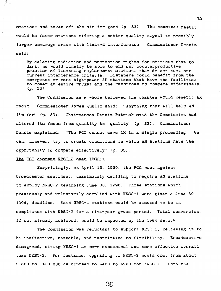stations and taken off the air for good (p. 33). The combined result would be fewer stations offering a better quality signal to possibly larger coverage areas with limited interference. Commissioner Dennis said:

By deleting radiation and protection rights for stations that go dark, we would finally be able to end our counterproductive practice of licensing replacement stations that do not meet our current interference criteria. Listeners could benefit from the emergence or more high-power AM stations that have the facilities to cover an entire market and the resources to compete effectively.  $(p. 33)$ 

The Commission as a whole believed the changes would benefit AM Commissioner James Quello said: "Anything that will help AM radio. I'm for" (p. 33). Chairperson Dennis Patrick said the Commission had altered its focus from quantity to "quality" (p. 33). Commissioner Dennis explained: "The FCC cannot save AM in a single proceeding. We can, however, try to create conditions in which AM stations have the opportunity to compete effectively" (p. 33).

#### The FCC chooses NRSC-2 over NRSC-1

Surprisingly, on April 12, 1989, the FCC went against broadcaster sentiment, unanimously deciding to require AM stations to employ NRSC-2 beginning June 30, 1990. Those stations which previously and voluntarily complied with NRSC-1 were given a June 30, 1994, deadline. Said NRSC-1 stations would be assumed to be in compliance with NRSC-2 for a five-year grace period. Total conversion, if not already achieved, would be expected by the 1994 date.

The Commission was reluctant to support NRSC-1, believing it to be ineffective, unstable, and restrictive to flexibility. Broadcasters disagreed, citing NRSC-1 as more economical and more effective overall than NRSC-2. For instance, upgrading to NRSC-2 would cost from about \$1800 to \$20,000 as opposed to \$400 to \$700 for NRSC-1. Both the

22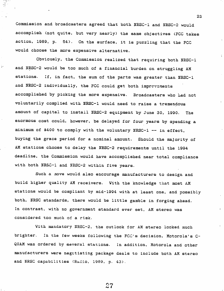Commission and broadcasters agreed that both NRSC-1 and NRSC-2 would accomplish (not quite, but very nearly) the same objectives (FCC takes action, 1989, p. 54). On the surface, it is puzzling that the FCC would choose the more expensive alternative.

Obviously, the Commission realized that requiring both NRSC-1 and NRSC-2 would be too much of a financial burden on struggling AM stations. If, in fact, the sum of the parts was greater than NRSC-1 and NRSC-2 individually, the FCC could get both improvements accomplished by picking the more expensive. Broadcasters who had not voluntarily complied with NRSC-1 would need to raise a tremendous amount of capital to install NRSC-2 equipment by June 30, 1990. The enormous cost could, however, be delayed for four years by spending a minimum of \$400 to comply with the voluntary NRSC-1 -- in effect, buying the grace period for a nominal amount. Should the majority of AM stations choose to delay the NRSC-2 requirements until the 1994 deadline, the Commission would have accomplished near total compliance with both NRSC-1 and NRSC-2 within five years.

Such a move would also encourage manufacturers to design and build higher quality AM receivers. With the knowledge that most AM stations would be compliant by mid-1994 with at least one, and possibly both, NRSC standards, there would be little gamble in forging ahead. In contrast, with no government standard ever set, AM stereo was considered too much of a risk.

With mandatory NRSC-2, the outlook for AM stereo looked much brighter. In the few weeks following the FCC's decision, Motorola's C-QUAM was ordered by several stations. In addition, Motorola and other manufacturers were negctiating package deals to include both AM stereo and NRSC capabilities (Radio, 1989, p. 43).

27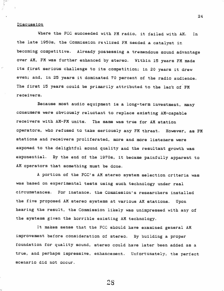#### Discussion

स्टब्स्<br>ज

Where the FCC succeeded with FM radio, it failed with AM. In the late 1950s, the Commission realized FM needed a catalyst in becoming competitive. Already possessing a tremendous sound advantage over AM, FM was further enhanced by stereo. Within 15 years FM made its first serious challenge to its competition; in 20 years it drew even; and, in 25 years it dominated 70 percent of the radio audience. The first 15 years could be primarily attributed to the lack of FM receivers.

Because most audio equipment is a long-term investment, many consumers were obviously reluctant to replace existing AM-capable receivers with AM-FM units. The same was true for AM station operators, who refused to take seriously any FM threat. However, as FM stations and receivers proliferated, more and more listeners were exposed to the delightful sound quality and the resultant growth was exponential. By the end of the 1970s, it became painfully apparent to AM operators that something must be done.

A portion of the FCC's AM stereo system selection criteria was was based on experimental tests using such technology under real circumstances. For instance, the Commission's researchers installed the five proposed AM stereo systems at various AM stations. Upon hearing the result, the Commission likely was unimpressed with any of the systems given the horrible existing AM technology.

It makes sense that the FCC should have examined general AM improvement before consideration of stereo. By building a proper foundation for quality sound, stereo could have later been added as a true, and perhaps impressive, enhancement. Unfortunately, the perfect scenario did not occur.

28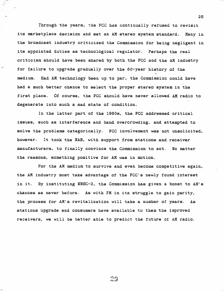Through the years, the FCC has continually refused to revisit its marketplace decision and set an AM stereo system standard. Many in the broadcast industry criticized the Commission for being negligent in its appointed duties as technological regulator. Perhaps the real criticism should have been shared by both the FCC and the AM industry for failure to upgrade gradually over the 60-year history of the Had AM technology been up to par, the Commission could have medium. had a much better chance to select the proper stereo system in the first place. Of course, the FCC should have never allowed AM radio to degenerate into such a sad state of condition.

25

In the latter part of the 1980s, the FCC addressed critical issues, such as interference and band overcrowding, and attempted to solve the problems categorically. FCC involvement was not unsolicited, however. It took the NAB, with support from stations and receiver manufacturers, to finally convince the Commission to act. No matter the reasons, something positive for AM was in motion.

For the AM medium to survive and even become competitive again, the AM industry must take advantage of the FCC's newly found interest in it. By instituting NRSC-2, the Commission has given a boost to AM's chances as never before. As with FM in its struggle to gain parity, the process for AM's revitalization will take a number of years. As stations upgrade and consumers have available to them the improved receivers, we will be better able to predict the future of AM radio.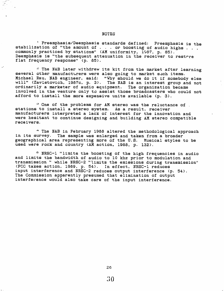#### **NOTES**

' Preemphasis/Deemphasis standards defined: Preemphasis is the stabilization of "the amount of . . . or boosting of audio highs . . . commonly practiced by stations" (AM uniformity, 1987, p. 85). Deemphasis is "the subsequent attenuation in the receiver to restrre flat frequency response" (p. 85).

a The NAB later withdrew its kit from the market after learning several other manufacturers were also going to market such items. Michael Rau, NAB engineer, said: "Why should we do it if somebody else will" (Zavistovich, 1987c, p. 3). The NAB is an interest group and not ordinarily a marketer of audio equipment. The organization became involved in the venture only to assist those broadcasters who could not afford to install the more expensive units available (p. 3).

<sup>3</sup> One of the problems for AM stereo was the reluctance of . stations to install a stereo system. As a result, receiver manufacturers interpreted a lack of interest for the innovation and were hesitant to continue designing and building AM stereo compatible receivers.

" The NAB in February 1988 altered the methodological approach in its survey. The sample was enlarged and taken from a broader geographical area representing more of the U.S. Musical styles to be used were rock and country (AM action, 1988, p. 132).

<sup>5</sup> NRSC-1 "limits the boosting of the high frequencies in audio and limits the bandwidth of audio to 10 khz prior to modulation and transmission " while NRSC-2 "limits the emissions during transmission" (FCC takes action, 1989, p. 54). In effect, NRSC-1 reduces input interference and NRSC-2 reduces output interference (p. 54). The Commission apparently presumed that elimination of output interference would also take care of the input interference.

26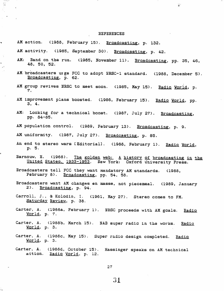#### **REFERENCES**

 $\frac{1}{\Omega}$  .

AM action. (1988, February 15). Broadcasting, p. 132.

**Notified** 萍

 $\blacksquare$ 

ويراد

- AM activity. (1985, September 30). Broadcasting, p. 42.
- Band on the run. (1985, November 11). Broadcasting, pp. 35, 46,  $AM:$ 48, 50, 52.
- AM broadcasters urge FCC to adopt NRSC-1 standard. (1988, December 5). Broadcasting, p. 62.
- AM group revives NRSC to meet soon. (1985, May 15). Radio World, p. 7.
- AM improvement plans boosted. (1986, February 15). Radio World, pp.  $3, 4.$
- AM: Looking for a technical boost. (1987, July 27). Broadcasting, pp. 84-85.
- AM population control. (1989, February 13). Broadcasting, p. 9.
- AM uniformity. (1987, July 27). Broadcasting, p. 85.
- An end to stereo wars [Editorial]. (1988, February 1). Radio World, p. 5.
- Barnouw, E. (1968). The golden web: A history of broadcasting in the United States, 1933-1953. New York: Oxford University Press.
- Broadcasters tell FCC they want mandatory AM standards. (1988, February 8). Broadcasting, pp. 54, 58.
- Broadcasters want AM changes en masse, not piecemeal. (1989, January  $2)$ . Broadcasting, p. 94.
- Carroll, J., & Kolodin, I. (1961, May 27). Stereo comes to FM. Saturday Review, p. 38.
- Carter, A. (1988a, February 1). NRSC proceeds with AM goals. Radio  $World, p. 7.$ </u>
- Carter, A. (1988b, March 15). NAB super radio in the works. <u>Radio</u> World, p. 3.
- Carter, A. (1988c, May 15). Super radio design completed. Radio World, p. 3.
- Carter, A. (1988d, October 15). Hassinger speaks on AM technical action. Radio Vorld, p. 12.

 $27$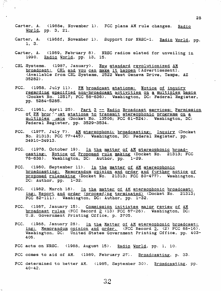Carter, A. (1988e, November 1). FCC plans AM rule changes. Radio World, pp. 3, 21.

ista<br>E

- Carter, A. (1988f, November 1). Support for NRSC-1. Radio World, pp. 1, 3.
- Carter, A. (1989, February 8). NRSC radios slated for unveiling in 1990. Radio World, pp. 13, 15.
- CRL Systems. (1987, January). New standard revolutionized AM broadcast: CRL and you can make it happen [Advertisement]. (Available from CRL Systems, 2522 West Geneva Drive, Tempe, AZ 35282).
- FCC. (1958, July 11). FM broadcast stations: Notice of inquiry regarding specified non-broadcast activities on a multiplex basis (Docket No. 12517; FCC 58-636). Washington, DC: Federal Register, pp. 5284-5285.
- FCC. (1961, April 25). Part 3 -- Radio Broadcast services: Permission of FM brog hat stations to transmit stereophonic programs on a multiplex usis (Docket No. 13506; FCC 61-524). Washington, DC: Federal Register, pp. 3529-3534.
- FCC. (1977, July 7). AM stereophonic broadcasting: Inquiry (Docket No. 21313; FCC 77-445). Washington, DC: Federal Register, pp. 34910-34913.
- FCC. (1978, October 19). In the matter of AM stereophonic broadcasting: Notice of Proposed rule making (Docket No. 21313; FCC 78-638). Washington, DC: Author, pp. 1-29.
- FCC. (1980, September 11). In the matter of AM stereophonic broadcasting: Memorandum opinion and order and further notice of proposed rulemaking (Docket No. 21313; FCC 80-477). Washington, DC: Author, pp. 1-32.
- FCC. (1982, March 18). In the matter of AM stereophonic broadcasting: Report and order (proceeding terminated) (Docket No. 21313; FCC 82-111). Washington, DC: Author, pp. 1-32.
- FCC. (1987, January 15). Commission initiates major review of AM broadcast rules (FCC Record 2 (13) FCC 87-26). Washington, DC: U.S. Government Printing Office, p. 3705.
- FCC. (1988, January 28). In the Matter of AM stereophonic broadcasting: Memorandum opinion and order. (FCC Record 3, (2) FCC 88-16). Washington, DC: United States Government Printing Office, pp. 403-406.
- FCC acts on NRSC. (1988, August 15). Radio World, pp. 1, 10.
- FCC comes to aid of AM. (1989, February 27). Broadcasting, p. 33.
- FCC determined to better AM. (1985, September 30). Broadcasting, pp.  $40 - 42.$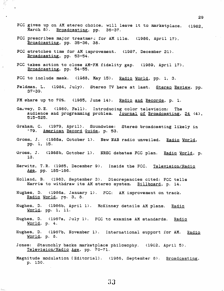- FCC gives up on AM stereo choice, will leave it to marketplace. (1982, March 8). Broadcasting, pp. 36-37.
- FCC prescribes major treatmer: for AM ills. (1986, April 17). Broadcasting, pp. 35-36, 38.
- FCC stretches time for AM improvement. (1987, December 21). Broadcasting, pp. 53-54.

 $\mu_{\rm{max}}$ 

- FCC takes action to close AM-FM fidelity gap. (1989, April 17). Broadcasting, pp. 54-55.
- FCC to include mask. (1988, May 15). Radio World, pp. 1, 3.
- Feldman, L. (1984, July). Stereo TV here at last. Stereo Review, pp.  $37 - 39.$
- FM share up to 70%. (1985, June 14). Radio and Records, p. 1.
- Garvey, D.E. (1980, Fall). Introducing color television: The audience and programming problem. Journal of Broadcasting, 24 (4), 515-525.
- Graham, C. (1979, April). Soundwise: Stereo broadcasting likely in '79. American Record Guide, p. 53.
- Gross, J. (1988a, October 1). New NAB radio unveiled. Radio World, pp. 1, 15.
- Gross, J. (1988b, October 1). NRSC debates FCC plan. Radio World, p. 13.
- Herwitz, T.R. (1985, December 9). Inside the FCC. Television/Radio Age, pp. 185-186.
- Holland, B. (1983, September 3). Discrepancies cited: FCC tells Harris to withdraw its AM stereo system. Billboard, p. 14.
- Hughes, D. (1986a, January 1). FCC: AM improvement on track. Radio World, pp. 3, 8.
- Hughes, D. (1986b, April 1). McKinney details AM plans. Radio World. pp. 1, 11.
- Hughes, D. (1987a, July 1). FCC to examine AM standards. Radio World, p. 4.
- Hughes, D. (1987b, November 1). International support for AM. Radio  $Word, p. 8.$
- Jones: Staunchly backs marketplace philosophy. (1982, April 5). Television/Radio Age, pp. 70-71.
- Magnitude modulation [Editorial]. (1986, September 8). Broadcasting, p. 130.

29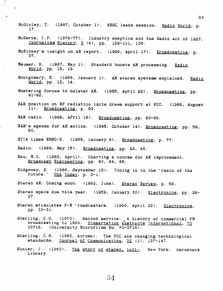- McGinley, T. (1987, October 1). NRSC leads session. Radio World, p. 17.
- McKerns, J.P. (1976-77). Industry skeptics and the Radio Act of 1927. Journalism History, 3 (4), pp. 129-131, 136.
- McKinney's insight on AM report. (1986, April 17). Broadcasting, p. 37.
- Meuser, R. (1987, May 1). Standard boosts AM processing. Radio World, pp. 15, 18.
- Montgomery, E. (1986, January 1). AM stereo systems explained. Radio World, pp. 12, 14.
- Mustering forces to bolster AM. (1985, April 22). Broadcasting, pp.  $91 - 92.$
- NAB position on RF radiation lmits draws support at FCC. (1986, August 11). Broadcasting, p. 63.

NAB radio. (1988, APril 18). Broadcasting, pp. 80-86.

- NAB's agenda for AM action. (1985, October 14). Broadcasting, pp. 58, 60.
- NTIA likes NRSC-2. (1989, January 9). Broadcasting, p. 77.
- Radio. (1989, May 15). Broadcasting, pp. 43, 46.

- Rau, M.C. (1985, April). Charting a course for AM improvement. Broadcast Engineering, pp. 80, 84, 86.
- Ridgeway, K. (1988, September 15). Tuning in to the 'radio of the future.' USA Today, p. D-1.
- Stereo AM: Coming soon. (1982, June). Stereo Review, p. 58.
- Stereo specs due this year. (1959, January 30). Electronics, pp. 26- $27.$
- Stereo stimulates F-M 'roadcasters. (1960, April 22). Electronics, pp. 30-31.
- Sterling, C.H. (1970). Second service: A history of commercial FM<br>broadcasting to 1969. Dissertation Abstracts International, 70 03716. (University Microfilms No. 70-3716).
- Sterling, C.H. (1982, Autumn). The FCC and changing technological standards. Journal of Communication, 32 (1), 137-147.
- Sunier, J. (1960). The story of stereo, 1631-. New York: Gernsback Library.

30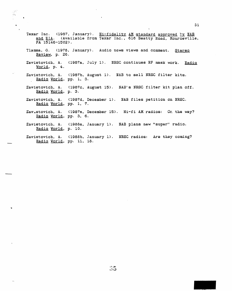Texar Inc. (1987, January). Hi-fidelity AM standard approved by NAB and EIA. (Available from Texar Inc., 616 Beatty Road, Monroevtlle, FA 15146-1502). Tlamsa, G. (1978, January). Audio news views and comment. Stereo Review, p. 26. Zavistovich, A. (1987a, July 1). NRSC continues RF mask work. Radio 'World, p. 4. Zavistovich, A. (1987b, August 1). NAB to sell NRSC filter kits. Radio World, pp. 1, 3. Zavistovich, A. (1987c, August 15). NAB's NRSC filter kit plan off.<br>Radio World, p. 3. Zavistovich, A. (1987d, December 1). NAB files petition on NRSC. Radio Vorld, pp. 1, 7. Zavistovich, A. (1987e, December 15). Hi-fi AM radios: Or. the way? Radio Vorld, pp. 3, 6. Zavistovich, A. (1988a, January 1). NAB plans new "super" radio. Radio World, p. 10. Zavistovich, A. (1988b, January 1). NRSC radios: Are they coming? Radio Vorld, pp. 11, 18.

 $\blacksquare$ 

 $\bullet$